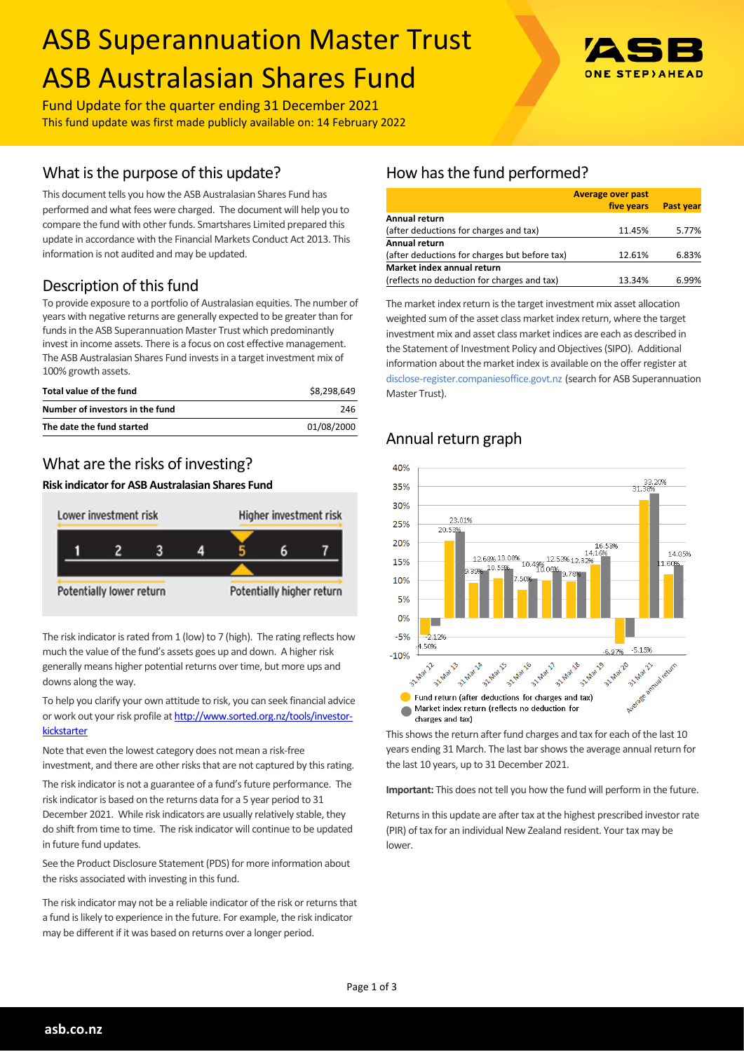# ASB Superannuation Master Trust ASB Australasian Shares Fund



Fund Update for the quarter ending 31 December 2021 This fund update was first made publicly available on: 14 February 2022

## What is the purpose of this update?

This document tells you how the ASB Australasian Shares Fund has performed and what fees were charged. The document will help you to compare the fund with other funds. Smartshares Limited prepared this update in accordance with the Financial Markets Conduct Act 2013. This information is not audited and may be updated.

## Description of this fund

To provide exposure to a portfolio of Australasian equities. The number of years with negative returns are generally expected to be greater than for funds in the ASB Superannuation Master Trust which predominantly invest in income assets. There is a focus on cost effective management. The ASB Australasian Shares Fund invests in a target investment mix of 100% growth assets.

| Total value of the fund         | \$8.298.649 |
|---------------------------------|-------------|
| Number of investors in the fund | 246         |
| The date the fund started       | 01/08/2000  |

## What are the risks of investing?

#### **Risk indicator for ASB Australasian Shares Fund**



The risk indicator is rated from 1 (low) to 7 (high). The rating reflects how much the value of the fund's assets goes up and down. A higher risk generally means higher potential returns over time, but more ups and downs along the way.

To help you clarify your own attitude to risk, you can seek financial advice or work out your risk profile at [http://www.sorted.org.nz/tools/investor](http://www.sorted.org.nz/tools/investor-kickstarter)**[kickstarter](http://www.sorted.org.nz/tools/investor-kickstarter)** 

Note that even the lowest category does not mean a risk-free investment, and there are other risks that are not captured by this rating.

The risk indicator is not a guarantee of a fund's future performance. The risk indicator is based on the returns data for a 5 year period to 31 December 2021. While risk indicators are usually relatively stable, they do shift from time to time. The risk indicator will continue to be updated in future fund updates.

See the Product Disclosure Statement (PDS) for more information about the risks associated with investing in this fund.

The risk indicator may not be a reliable indicator of the risk or returns that a fund is likely to experience in the future. For example, the risk indicator may be different if it was based on returns over a longer period.

# How has the fund performed?

|                                               | <b>Average over past</b> |                  |
|-----------------------------------------------|--------------------------|------------------|
|                                               | five years               | <b>Past year</b> |
| Annual return                                 |                          |                  |
| (after deductions for charges and tax)        | 11.45%                   | 5.77%            |
| <b>Annual return</b>                          |                          |                  |
| (after deductions for charges but before tax) | 12.61%                   | 6.83%            |
| Market index annual return                    |                          |                  |
| (reflects no deduction for charges and tax)   | 13.34%                   | 6.99%            |

The market index return is the target investment mix asset allocation weighted sum of the asset class market index return, where the target investment mix and asset class market indices are each as described in the Statement of Investment Policy and Objectives (SIPO). Additional information about the market index is available on the offer register at [disclose-register.companiesoffice.govt.nz](http://www.business.govt.nz/disclose/) (search for ASB Superannuation Master Trust).

## Annual return graph



This shows the return after fund charges and tax for each of the last 10 years ending 31 March. The last bar shows the average annual return for the last 10 years, up to 31 December 2021.

**Important:** This does not tell you how the fund will perform in the future.

Returns in this update are after tax at the highest prescribed investor rate (PIR) of tax for an individual New Zealand resident. Your tax may be lower.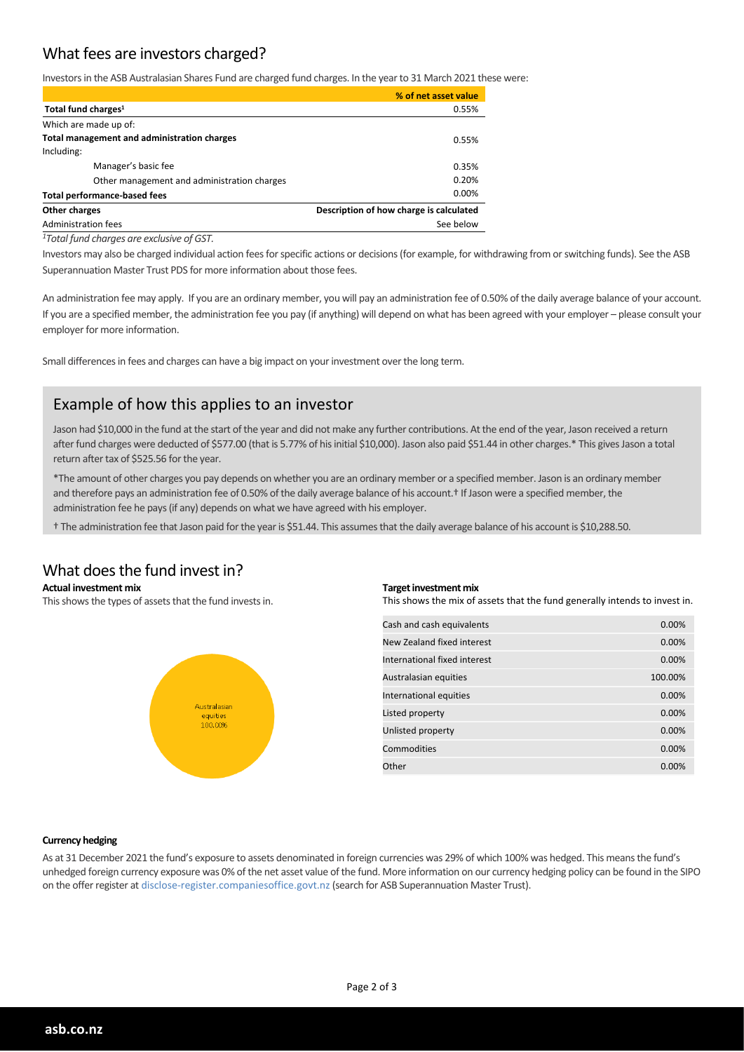## What fees are investors charged?

Investors in the ASB Australasian Shares Fund are charged fund charges. In the year to 31 March 2021 these were:

|                                             | % of net asset value                    |  |
|---------------------------------------------|-----------------------------------------|--|
| Total fund charges <sup>1</sup>             | 0.55%                                   |  |
| Which are made up of:                       |                                         |  |
| Total management and administration charges | 0.55%                                   |  |
| Including:                                  |                                         |  |
| Manager's basic fee                         | 0.35%                                   |  |
| Other management and administration charges | 0.20%                                   |  |
| <b>Total performance-based fees</b>         | $0.00\%$                                |  |
| Other charges                               | Description of how charge is calculated |  |
| Administration fees                         | See below                               |  |
|                                             |                                         |  |

*<sup>1</sup>Total fund charges are exclusive of GST.*

Investors may also be charged individual action fees for specific actions or decisions (for example, for withdrawing from or switching funds). See the ASB Superannuation Master Trust PDS for more information about those fees.

An administration fee may apply. If you are an ordinary member, you will pay an administration fee of 0.50% of the daily average balance of your account. If you are a specified member, the administration fee you pay (if anything) will depend on what has been agreed with your employer – please consult your employer for more information.

Small differences in fees and charges can have a big impact on your investment over the long term.

## Example of how this applies to an investor

Jason had \$10,000 in the fund at the start of the year and did not make any further contributions. At the end of the year, Jason received a return after fund charges were deducted of \$577.00 (that is 5.77% of his initial \$10,000). Jason also paid \$51.44 in other charges.\* This gives Jason a total return after tax of \$525.56 for the year.

\*The amount of other charges you pay depends on whether you are an ordinary member or a specified member. Jason is an ordinary member and therefore pays an administration fee of 0.50% of the daily average balance of his account.<sup>†</sup> If Jason were a specified member, the administration fee he pays (if any) depends on what we have agreed with his employer.

† The administration fee that Jason paid for the year is \$51.44. This assumes that the daily average balance of his account is \$10,288.50.

# What does the fund invest in?

**Actual investment mix**

This shows the types of assets that the fund invests in.



#### **Target investment mix**

This shows the mix of assets that the fund generally intends to invest in.

| Cash and cash equivalents    | 0.00%   |
|------------------------------|---------|
| New Zealand fixed interest   | 0.00%   |
| International fixed interest | 0.00%   |
| Australasian equities        | 100.00% |
| International equities       | 0.00%   |
| Listed property              | 0.00%   |
| Unlisted property            | 0.00%   |
| Commodities                  | 0.00%   |
| Other                        | 0.00%   |

#### **Currency hedging**

As at 31 December 2021 the fund's exposure to assets denominated in foreign currencies was 29% of which 100% was hedged. This means the fund's unhedged foreign currency exposure was 0% of the net asset value of the fund. More information on our currency hedging policy can be found in the SIPO on the offer register at disclose-register.companiesoffice.govt.nz (search for ASB Superannuation Master Trust).